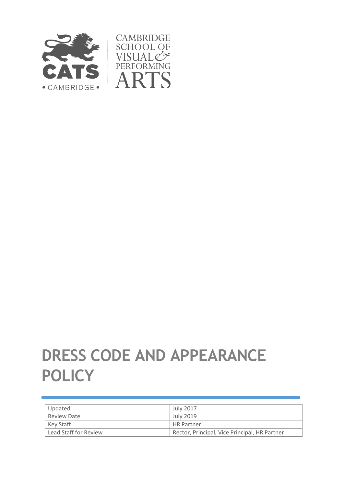

# **DRESS CODE AND APPEARANCE POLICY**

| Updated               | <b>July 2017</b>                              |
|-----------------------|-----------------------------------------------|
| Review Date           | July 2019                                     |
| Key Staff             | <b>HR Partner</b>                             |
| Lead Staff for Review | Rector, Principal, Vice Principal, HR Partner |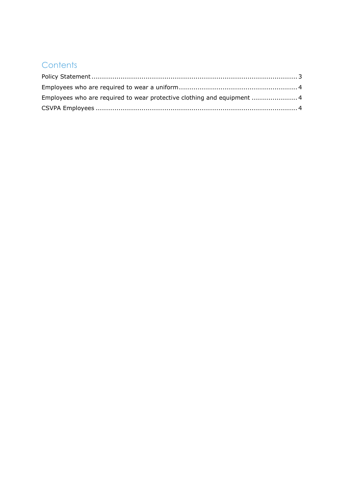# **Contents**

| Employees who are required to wear protective clothing and equipment  4 |  |
|-------------------------------------------------------------------------|--|
|                                                                         |  |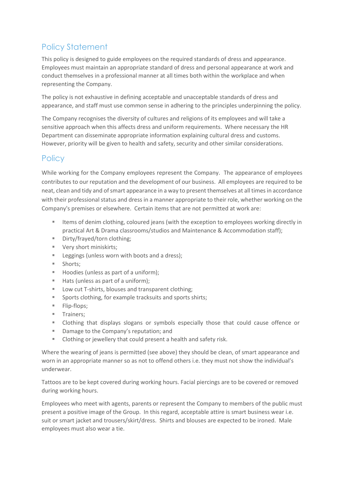## <span id="page-2-0"></span>Policy Statement

This policy is designed to guide employees on the required standards of dress and appearance. Employees must maintain an appropriate standard of dress and personal appearance at work and conduct themselves in a professional manner at all times both within the workplace and when representing the Company.

The policy is not exhaustive in defining acceptable and unacceptable standards of dress and appearance, and staff must use common sense in adhering to the principles underpinning the policy.

The Company recognises the diversity of cultures and religions of its employees and will take a sensitive approach when this affects dress and uniform requirements. Where necessary the HR Department can disseminate appropriate information explaining cultural dress and customs. However, priority will be given to health and safety, security and other similar considerations.

#### **Policy**

While working for the Company employees represent the Company. The appearance of employees contributes to our reputation and the development of our business. All employees are required to be neat, clean and tidy and of smart appearance in a way to present themselves at all times in accordance with their professional status and dress in a manner appropriate to their role, whether working on the Company's premises or elsewhere. Certain items that are not permitted at work are:

- **Items of denim clothing, coloured jeans (with the exception to employees working directly in** practical Art & Drama classrooms/studios and Maintenance & Accommodation staff);
- Dirty/frayed/torn clothing:
- **Very short miniskirts;**
- Leggings (unless worn with boots and a dress);
- **Shorts:**
- Hoodies (unless as part of a uniform);
- Hats (unless as part of a uniform);
- Low cut T-shirts, blouses and transparent clothing;
- Sports clothing, for example tracksuits and sports shirts;
- **Flip-flops;**
- **Trainers**;
- Clothing that displays slogans or symbols especially those that could cause offence or
- Damage to the Company's reputation; and
- Clothing or jewellery that could present a health and safety risk.

Where the wearing of jeans is permitted (see above) they should be clean, of smart appearance and worn in an appropriate manner so as not to offend others i.e. they must not show the individual's underwear.

Tattoos are to be kept covered during working hours. Facial piercings are to be covered or removed during working hours.

Employees who meet with agents, parents or represent the Company to members of the public must present a positive image of the Group. In this regard, acceptable attire is smart business wear i.e. suit or smart jacket and trousers/skirt/dress. Shirts and blouses are expected to be ironed. Male employees must also wear a tie.